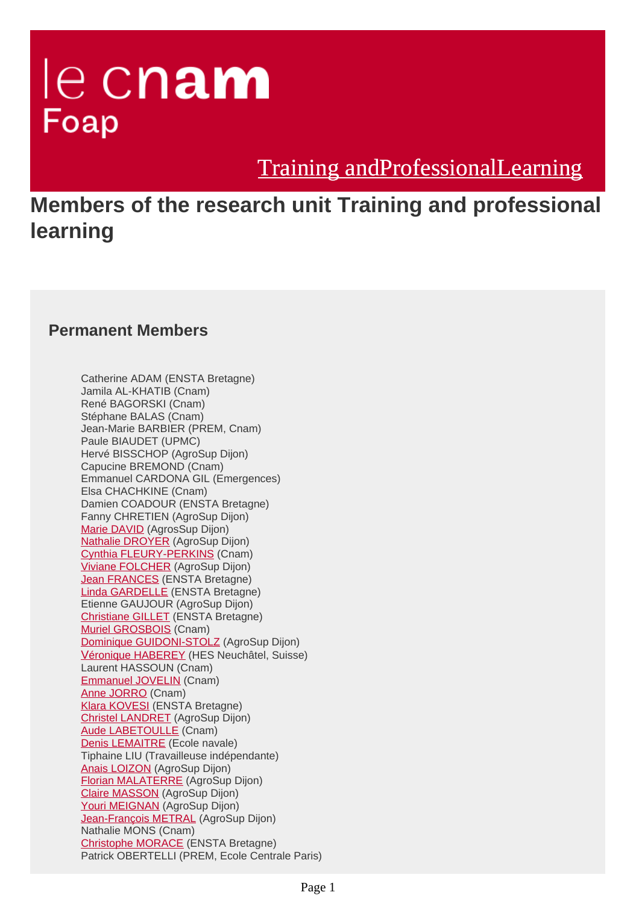# le cnam Foap

[Training andProfessionalLearning](https://foap-en.cnam.fr/)

**Members of the research unit Training and professional learning**

### **Permanent Members**

Catherine ADAM (ENSTA Bretagne) Jamila AL-KHATIB (Cnam) René BAGORSKI (Cnam) Stéphane BALAS (Cnam) Jean-Marie BARBIER (PREM, Cnam) Paule BIAUDET (UPMC) Hervé BISSCHOP (AgroSup Dijon) Capucine BREMOND (Cnam) Emmanuel CARDONA GIL (Emergences) Elsa CHACHKINE (Cnam) Damien COADOUR (ENSTA Bretagne) Fanny CHRETIEN (AgroSup Dijon) [Marie DAVID](https://foap.cnam.fr/le-laboratoire/membres/marie-david-1052973.kjsp?RH=1622448000058) (AgrosSup Dijon) [Nathalie DROYER](https://foap.cnam.fr/le-laboratoire/membres/nathalie-droyer-1052962.kjsp?RH=1622448000058) (AgroSup Dijon) [Cynthia FLEURY-PERKINS](https://foap.cnam.fr/le-laboratoire/membres/cynthia-fleury-perkins-1116752.kjsp?RH=1622448000058) (Cnam) [Viviane FOLCHER](https://foap.cnam.fr/le-laboratoire/membres/viviane-folcher-1284850.kjsp?RH=1622448000058) (AgroSup Dijon) [Jean FRANCES](https://foap.cnam.fr/le-laboratoire/membres/jean-frances-1123281.kjsp?RH=1622448000058) (ENSTA Bretagne) [Linda GARDELLE](https://foap.cnam.fr/le-laboratoire/membres/linda-gardelle-1036149.kjsp?RH=1622448000058) (ENSTA Bretagne) Etienne GAUJOUR (AgroSup Dijon) [Christiane GILLET](https://foap.cnam.fr/le-laboratoire/membres/christiane-gillet-1036299.kjsp?RH=1622448000058) (ENSTA Bretagne) [Muriel GROSBOIS](https://foap.cnam.fr/le-laboratoire/membres/muriel-grosbois-1026660.kjsp?RH=1622448000058) (Cnam) [Dominique GUIDONI-STOLZ](https://foap.cnam.fr/le-laboratoire/membres/dominique-guidoni-stolz-1133061.kjsp?RH=1622448000058) (AgroSup Dijon) V[éronique HABEREY](https://foap.cnam.fr/le-laboratoire/membres/veronique-haberey-1205982.kjsp?RH=1622448000058) (HES Neuchâtel, Suisse) Laurent HASSOUN (Cnam) [Emmanuel JOVELIN](https://foap.cnam.fr/le-laboratoire/membres/emmanuel-jovelin-1241084.kjsp?RH=1622448000058) (Cnam) [Anne JORRO](https://foap.cnam.fr/le-laboratoire/membres/anne-jorro-1025623.kjsp?RH=1622448000058) (Cnam) [Klara KOVESI](https://foap.cnam.fr/le-laboratoire/membres/klara-k-vesi-1036294.kjsp?RH=1622448000058) (ENSTA Bretagne) [Christel LANDRET](https://foap.cnam.fr/le-laboratoire/membres/christel-landret-1133093.kjsp?RH=1622448000058) (AgroSup Dijon) [Aude LABETOULLE](https://foap.cnam.fr/le-laboratoire/membres/aude-labetoulle-1038095.kjsp?RH=1622448000058) (Cnam) [Denis LEMAITRE](https://foap.cnam.fr/le-laboratoire/membres/denis-lemaitre-1036217.kjsp?RH=1622448000058) (Ecole navale) Tiphaine LIU (Travailleuse indépendante) [Anais LOIZON](https://foap.cnam.fr/le-laboratoire/membres/anais-loizon-1204282.kjsp?RH=1622448000058) (AgroSup Dijon) [Florian MALATERRE](https://foap.cnam.fr/le-laboratoire/membres/florian-malaterre-1207044.kjsp?RH=1622448000058) (AgroSup Dijon) [Claire MASSON](https://foap.cnam.fr/le-laboratoire/membres/claire-masson-1053199.kjsp?RH=1622448000058) (AgroSup Dijon) [Youri MEIGNAN](https://foap.cnam.fr/le-laboratoire/membres/youri-meignan-1133141.kjsp?RH=1622448000058) (AgroSup Dijon) [Jean-François METRAL](https://foap.cnam.fr/le-laboratoire/membres/jean-francois-metral-1053194.kjsp?RH=1622448000058) (AgroSup Dijon) Nathalie MONS (Cnam) [Christophe MORACE](https://foap.cnam.fr/le-laboratoire/membres/christophe-morace-1036309.kjsp?RH=1622448000058) (ENSTA Bretagne) Patrick OBERTELLI (PREM, Ecole Centrale Paris)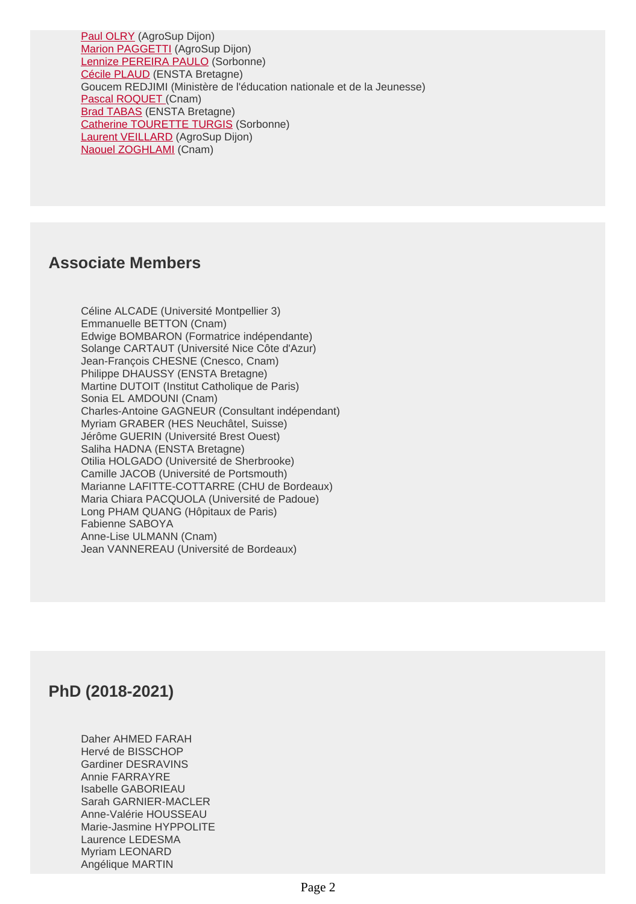[Paul OLRY](https://foap.cnam.fr/le-laboratoire/membres/paul-olry-1049928.kjsp?RH=1622448000058) (AgroSup Dijon) [Marion PAGGETTI](https://foap.cnam.fr/le-laboratoire/membres/marion-paggetti-1283370.kjsp?RH=1622448000058) (AgroSup Dijon) [Lennize PEREIRA PAULO](https://foap.cnam.fr/le-laboratoire/membres/lennize-pereira-paulo-1035023.kjsp?RH=1622448000058) (Sorbonne) [Cécile PLAUD](https://foap.cnam.fr/le-laboratoire/membres/cecile-plaud-1036279.kjsp?RH=1622448000058) (ENSTA Bretagne) Goucem REDJIMI (Ministère de l'éducation nationale et de la Jeunesse) [Pascal ROQUET](https://foap.cnam.fr/le-laboratoire/membres/pascal-roquet-1034994.kjsp?RH=1622448000058) [\(](https://foap.cnam.fr/le-laboratoire/membres/pascal-roquet-1034994.kjsp?RH=1622448000058)Cnam) **Brad TABAS** (ENSTA Bretagne) [Catherine TOURETTE TURGIS](https://foap.cnam.fr/le-laboratoire/membres/catherine-tourette-turgis-1033277.kjsp?RH=1622448000058) (Sorbonne) [Laurent VEILLARD](https://foap.cnam.fr/le-laboratoire/membres/laurent-veillard-1204323.kjsp?RH=1622448000058) (AgroSup Dijon) [Naouel ZOGHLAMI](https://foap.cnam.fr/le-laboratoire/membres/naouel-zoghlami-1033291.kjsp?RH=1622448000058) (Cnam)

#### **Associate Members**

Céline ALCADE (Université Montpellier 3) Emmanuelle BETTON (Cnam) Edwige BOMBARON (Formatrice indépendante) Solange CARTAUT (Université Nice Côte d'Azur) Jean-François CHESNE (Cnesco, Cnam) Philippe DHAUSSY (ENSTA Bretagne) Martine DUTOIT (Institut Catholique de Paris) Sonia EL AMDOUNI (Cnam) Charles-Antoine GAGNEUR (Consultant indépendant) Myriam GRABER (HES Neuchâtel, Suisse) Jérôme GUERIN (Université Brest Ouest) Saliha HADNA (ENSTA Bretagne) Otilia HOLGADO (Université de Sherbrooke) Camille JACOB (Université de Portsmouth) Marianne LAFITTE-COTTARRE (CHU de Bordeaux) Maria Chiara PACQUOLA (Université de Padoue) Long PHAM QUANG (Hôpitaux de Paris) Fabienne SABOYA Anne-Lise ULMANN (Cnam) Jean VANNEREAU (Université de Bordeaux)

## **PhD (2018-2021)**

Daher AHMED FARAH Hervé de BISSCHOP Gardiner DESRAVINS Annie FARRAYRE Isabelle GABORIEAU Sarah GARNIER-MACLER Anne-Valérie HOUSSEAU Marie-Jasmine HYPPOLITE Laurence LEDESMA Myriam LEONARD Angélique MARTIN